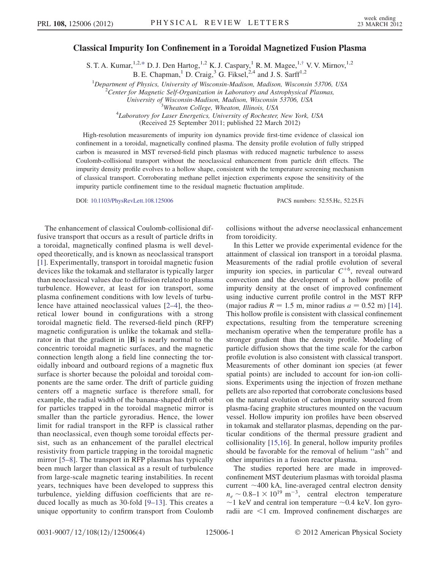## <span id="page-0-0"></span>Classical Impurity Ion Confinement in a Toroidal Magnetized Fusion Plasma

S. T. A. Kumar,  $1.2, *$  $1.2, *$  D. J. Den Hartog,  $1.2$  K. J. Caspary, <sup>1</sup> R. M. Magee,  $1, †$  V. V. Mirnov,  $1.2$ 

B. E. Chapman,<sup>1</sup> D. Craig,<sup>3</sup> G. Fiksel,<sup>2,4</sup> and J. S. Sarff<sup>1,2</sup>

<sup>1</sup>Department of Physics, University of Wisconsin-Madison, Madison, Wisconsin 53706, USA  $\frac{2}{3}$ Contar for Magnetic Self Organization in Laboratory and Astrophysical Plasmac

<sup>2</sup> Center for Magnetic Self-Organization in Laboratory and Astrophysical Plasmas,

University of Wisconsin-Madison, Madison, Wisconsin 53706, USA<br><sup>3</sup>Wheaton College, Wheaton, Illinois, USA

<sup>5</sup>Wheaton College, Wheaton, Illinois, USA<br><sup>4</sup>Laboratory for Laser Energetics, University of Rochester, New York, USA

(Received 25 September 2011; published 22 March 2012)

High-resolution measurements of impurity ion dynamics provide first-time evidence of classical ion confinement in a toroidal, magnetically confined plasma. The density profile evolution of fully stripped carbon is measured in MST reversed-field pinch plasmas with reduced magnetic turbulence to assess Coulomb-collisional transport without the neoclassical enhancement from particle drift effects. The impurity density profile evolves to a hollow shape, consistent with the temperature screening mechanism of classical transport. Corroborating methane pellet injection experiments expose the sensitivity of the impurity particle confinement time to the residual magnetic fluctuation amplitude.

DOI: [10.1103/PhysRevLett.108.125006](http://dx.doi.org/10.1103/PhysRevLett.108.125006) PACS numbers: 52.55.Hc, 52.25.Fi

The enhancement of classical Coulomb-collisional diffusive transport that occurs as a result of particle drifts in a toroidal, magnetically confined plasma is well developed theoretically, and is known as neoclassical transport [[1\]](#page-3-2). Experimentally, transport in toroidal magnetic fusion devices like the tokamak and stellarator is typically larger than neoclassical values due to diffusion related to plasma turbulence. However, at least for ion transport, some plasma confinement conditions with low levels of turbulence have attained neoclassical values [[2](#page-3-3)[–4\]](#page-3-4), the theoretical lower bound in configurations with a strong toroidal magnetic field. The reversed-field pinch (RFP) magnetic configuration is unlike the tokamak and stellarator in that the gradient in  $|\mathbf{B}|$  is nearly normal to the concentric toroidal magnetic surfaces, and the magnetic connection length along a field line connecting the toroidally inboard and outboard regions of a magnetic flux surface is shorter because the poloidal and toroidal components are the same order. The drift of particle guiding centers off a magnetic surface is therefore small, for example, the radial width of the banana-shaped drift orbit for particles trapped in the toroidal magnetic mirror is smaller than the particle gyroradius. Hence, the lower limit for radial transport in the RFP is classical rather than neoclassical, even though some toroidal effects persist, such as an enhancement of the parallel electrical resistivity from particle trapping in the toroidal magnetic mirror [[5](#page-3-5)–[8\]](#page-3-6). The transport in RFP plasmas has typically been much larger than classical as a result of turbulence from large-scale magnetic tearing instabilities. In recent years, techniques have been developed to suppress this turbulence, yielding diffusion coefficients that are reduced locally as much as 30-fold [[9](#page-3-7)–[13](#page-3-8)]. This creates a unique opportunity to confirm transport from Coulomb

collisions without the adverse neoclassical enhancement from toroidicity.

In this Letter we provide experimental evidence for the attainment of classical ion transport in a toroidal plasma. Measurements of the radial profile evolution of several impurity ion species, in particular  $C^{+6}$ , reveal outward convection and the development of a hollow profile of impurity density at the onset of improved confinement using inductive current profile control in the MST RFP (major radius  $R = 1.5$  m, minor radius  $a = 0.52$  m) [[14\]](#page-3-9). This hollow profile is consistent with classical confinement expectations, resulting from the temperature screening mechanism operative when the temperature profile has a stronger gradient than the density profile. Modeling of particle diffusion shows that the time scale for the carbon profile evolution is also consistent with classical transport. Measurements of other dominant ion species (at fewer spatial points) are included to account for ion-ion collisions. Experiments using the injection of frozen methane pellets are also reported that corroborate conclusions based on the natural evolution of carbon impurity sourced from plasma-facing graphite structures mounted on the vacuum vessel. Hollow impurity ion profiles have been observed in tokamak and stellarator plasmas, depending on the particular conditions of the thermal pressure gradient and collisionality [\[15](#page-3-10)[,16\]](#page-3-11). In general, hollow impurity profiles should be favorable for the removal of helium ''ash'' and other impurities in a fusion reactor plasma.

The studies reported here are made in improvedconfinement MST deuterium plasmas with toroidal plasma current  $\sim$  400 kA, line-averaged central electron density  $n_e \sim 0.8 - 1 \times 10^{19} \text{ m}^{-3}$ , central electron temperature  $\sim$ 1 keV and central ion temperature  $\sim$ 0.4 keV. Ion gyroradii are <1 cm. Improved confinement discharges are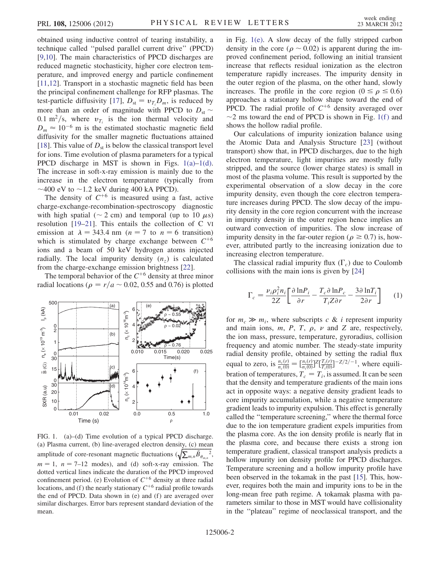obtained using inductive control of tearing instability, a technique called ''pulsed parallel current drive'' (PPCD) [\[9,](#page-3-7)[10\]](#page-3-12). The main characteristics of PPCD discharges are reduced magnetic stochasticity, higher core electron temperature, and improved energy and particle confinement [\[11](#page-3-13)[,12\]](#page-3-14). Transport in a stochastic magnetic field has been the principal confinement challenge for RFP plasmas. The test-particle diffusivity [\[17\]](#page-3-15),  $D_{st} = v_{T_i} D_m$ , is reduced by more than an order of magnitude with PPCD to  $D_{st} \sim$ 0.1 m<sup>2</sup>/s, where  $v_{T_i}$  is the ion thermal velocity and  $D_m \approx 10^{-6}$  m is the estimated stochastic magnetic field diffusivity for the smaller magnetic fluctuations attained [\[18\]](#page-3-16). This value of  $D_{st}$  is below the classical transport level for ions. Time evolution of plasma parameters for a typical PPCD discharge in MST is shown in Figs.  $1(a)-1(d)$ . The increase in soft-x-ray emission is mainly due to the increase in the electron temperature (typically from  $\sim$ 400 eV to  $\sim$ 1.2 keV during 400 kA PPCD).

The density of  $C^{+6}$  is measured using a fast, active charge-exchange-recombination-spectroscopy diagnostic with high spatial ( $\sim$  2 cm) and temporal (up to 10  $\mu$ s) resolution [[19](#page-3-17)[–21\]](#page-3-18). This entails the collection of C VI emission at  $\lambda = 343.4$  nm ( $n = 7$  to  $n = 6$  transition) which is stimulated by charge exchange between  $C^{+6}$ ions and a beam of 50 keV hydrogen atoms injected radially. The local impurity density  $(n<sub>z</sub>)$  is calculated from the charge-exchange emission brightness [[22](#page-3-19)].

The temporal behavior of the  $C^{+6}$  density at three minor radial locations ( $\rho = r/a \sim 0.02$ , 0.55 and 0.76) is plotted



<span id="page-1-0"></span>FIG. 1. (a)–(d) Time evolution of a typical PPCD discharge. (a) Plasma current, (b) line-averaged electron density, (c) mean amplitude of core-resonant magnetic fluctuations  $(\sqrt{\sum_{m,n} \tilde{B}_{\theta_{m,n}}}^2)$ .  $m = 1$ ,  $n = 7-12$  modes), and (d) soft-x-ray emission. The dotted vertical lines indicate the duration of the PPCD improved confinement period. (e) Evolution of  $C^{+6}$  density at three radial locations, and (f) the nearly stationary  $C^{+6}$  radial profile towards the end of PPCD. Data shown in (e) and (f) are averaged over similar discharges. Error bars represent standard deviation of the mean.

in Fig. [1\(e\).](#page-1-0) A slow decay of the fully stripped carbon density in the core ( $\rho \sim 0.02$ ) is apparent during the improved confinement period, following an initial transient increase that reflects residual ionization as the electron temperature rapidly increases. The impurity density in the outer region of the plasma, on the other hand, slowly increases. The profile in the core region ( $0 \le \rho \le 0.6$ ) approaches a stationary hollow shape toward the end of PPCD. The radial profile of  $C^{+6}$  density averaged over  $\sim$ 2 ms toward the end of PPCD is shown in Fig. 1(f) and shows the hollow radial profile.

Our calculations of impurity ionization balance using the Atomic Data and Analysis Structure [\[23\]](#page-3-20) (without transport) show that, in PPCD discharges, due to the high electron temperature, light impurities are mostly fully stripped, and the source (lower charge states) is small in most of the plasma volume. This result is supported by the experimental observation of a slow decay in the core impurity density, even though the core electron temperature increases during PPCD. The slow decay of the impurity density in the core region concurrent with the increase in impurity density in the outer region hence implies an outward convection of impurities. The slow increase of impurity density in the far-outer region ( $\rho \ge 0.7$ ) is, however, attributed partly to the increasing ionization due to increasing electron temperature.

<span id="page-1-1"></span>The classical radial impurity flux  $(\Gamma_c)$  due to Coulomb collisions with the main ions is given by [\[24\]](#page-3-21)

$$
\Gamma_c = \frac{\nu_i \rho_i^2 n_i}{2Z} \left[ \frac{\partial \ln P_i}{\partial r} - \frac{T_c \partial \ln P_c}{T_i Z \partial r} - \frac{3 \partial \ln T_i}{2 \partial r} \right] \tag{1}
$$

for  $m_c \gg m_i$ , where subscripts c & i represent impurity and main ions,  $m$ ,  $P$ ,  $T$ ,  $\rho$ ,  $\nu$  and  $Z$  are, respectively, the ion mass, pressure, temperature, gyroradius, collision frequency and atomic number. The steady-state impurity radial density profile, obtained by setting the radial flux equal to zero, is  $\frac{n_c(r)}{n_c(0)} = \left[\frac{n_i(r)}{n_i(0)}\right]^2 \left[\frac{T_i(r)}{T_i(0)}\right]$  $\frac{T_i(r)}{T_i(0)}$ ]<sup>-Z/2/-1</sup>, where equilibration of temperatures,  $T_c = T_i$ , is assumed. It can be seen that the density and temperature gradients of the main ions act in opposite ways: a negative density gradient leads to core impurity accumulation, while a negative temperature gradient leads to impurity expulsion. This effect is generally called the ''temperature screening,'' where the thermal force due to the ion temperature gradient expels impurities from the plasma core. As the ion density profile is nearly flat in the plasma core, and because there exists a strong ion temperature gradient, classical transport analysis predicts a hollow impurity ion density profile for PPCD discharges. Temperature screening and a hollow impurity profile have been observed in the tokamak in the past [\[15\]](#page-3-10). This, however, requires both the main and impurity ions to be in the long-mean free path regime. A tokamak plasma with parameters similar to those in MST would have collisionality in the ''plateau'' regime of neoclassical transport, and the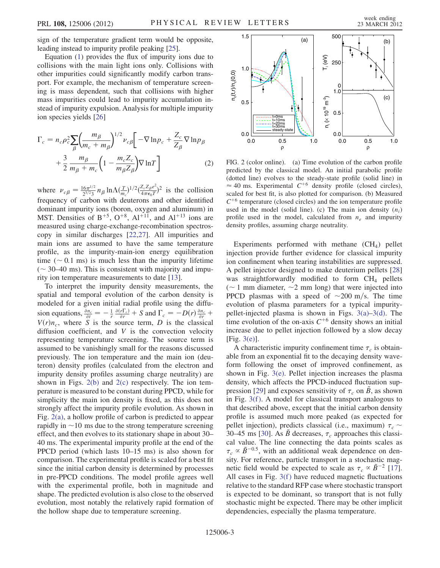sign of the temperature gradient term would be opposite, leading instead to impurity profile peaking [\[25\]](#page-3-22).

Equation ([1\)](#page-1-1) provides the flux of impurity ions due to collisions with the main light ions only. Collisions with other impurities could significantly modify carbon transport. For example, the mechanism of temperature screening is mass dependent, such that collisions with higher mass impurities could lead to impurity accumulation instead of impurity expulsion. Analysis for multiple impurity ion species yields [\[26\]](#page-3-23)

$$
\Gamma_c = n_c \rho_c^2 \sum_{\beta} \left( \frac{m_{\beta}}{m_c + m_{\beta}} \right)^{1/2} \nu_{c\beta} \left[ -\nabla \ln p_c + \frac{Z_c}{Z_{\beta}} \nabla \ln p_{\beta} \right] + \frac{3}{2} \frac{m_{\beta}}{m_{\beta} + m_c} \left( 1 - \frac{m_c Z_c}{m_{\beta} Z_{\beta}} \right) \nabla \ln T \right]
$$
(2)

where  $\nu_{c\beta} = \frac{16\pi^{1/2}}{2^{3/2}3} n_{\beta} \ln \Lambda(\frac{T}{m_c})^{1/2} (\frac{Z_c Z_\beta e^2}{4\pi\epsilon_0 T})^2$  is the collision frequency of carbon with deuterons and other identified dominant impurity ions (boron, oxygen and aluminum) in MST. Densities of  $B^{+5}$ ,  $O^{+8}$ ,  $Al^{+11}$ , and  $Al^{+13}$  ions are measured using charge-exchange-recombination spectroscopy in similar discharges [[22](#page-3-19),[27](#page-3-24)]. All impurities and main ions are assumed to have the same temperature profile, as the impurity-main-ion energy equilibration time ( $\sim$  0.1 ms) is much less than the impurity lifetime  $(\sim 30-40 \text{ ms})$ . This is consistent with majority and impurity ion temperature measurements to date [\[13\]](#page-3-8).

To interpret the impurity density measurements, the spatial and temporal evolution of the carbon density is modeled for a given initial radial profile using the diffusion equations,  $\frac{\partial n_c}{\partial t} = -\frac{1}{r} \frac{\partial (r \Gamma_c)}{\partial r} + S$  and  $\Gamma_c = -D(r) \frac{\partial n_c}{\partial r} +$  $V(r)n_c$ , where S is the source term, D is the classical diffusion coefficient, and  $V$  is the convection velocity representing temperature screening. The source term is assumed to be vanishingly small for the reasons discussed previously. The ion temperature and the main ion (deuteron) density profiles (calculated from the electron and impurity density profiles assuming charge neutrality) are shown in Figs. [2\(b\)](#page-2-0) and [2\(c\)](#page-2-0) respectively. The ion temperature is measured to be constant during PPCD, while for simplicity the main ion density is fixed, as this does not strongly affect the impurity profile evolution. As shown in Fig. [2\(a\)](#page-2-0), a hollow profile of carbon is predicted to appear rapidly in  $\sim$ 10 ms due to the strong temperature screening effect, and then evolves to its stationary shape in about 30– 40 ms. The experimental impurity profile at the end of the PPCD period (which lasts 10–15 ms) is also shown for comparison. The experimental profile is scaled for a best fit since the initial carbon density is determined by processes in pre-PPCD conditions. The model profile agrees well with the experimental profile, both in magnitude and shape. The predicted evolution is also close to the observed evolution, most notably the relatively rapid formation of the hollow shape due to temperature screening.



<span id="page-2-0"></span>FIG. 2 (color online). (a) Time evolution of the carbon profile predicted by the classical model. An initial parabolic profile (dotted line) evolves to the steady-state profile (solid line) in  $\approx 40$  ms. Experimental  $C^{+6}$  density profile (closed circles), scaled for best fit, is also plotted for comparison. (b) Measured  $C^{+6}$  temperature (closed circles) and the ion temperature profile used in the model (solid line). (c) The main ion density  $(n_i)$ profile used in the model, calculated from  $n_e$  and impurity density profiles, assuming charge neutrality.

Experiments performed with methane  $(CH<sub>4</sub>)$  pellet injection provide further evidence for classical impurity ion confinement when tearing instabilities are suppressed. A pellet injector designed to make deuterium pellets [\[28\]](#page-3-25) was straightforwardly modified to form  $CH<sub>4</sub>$  pellets ( $\sim$  1 mm diameter,  $\sim$  2 mm long) that were injected into PPCD plasmas with a speed of  $\sim$ 200 m/s. The time evolution of plasma parameters for a typical impuritypellet-injected plasma is shown in Figs.  $3(a)$ – $3(d)$ . The time evolution of the on-axis  $C^{+6}$  density shows an initial increase due to pellet injection followed by a slow decay [Fig. [3\(e\)\]](#page-3-26).

A characteristic impurity confinement time  $\tau_c$  is obtainable from an exponential fit to the decaying density waveform following the onset of improved confinement, as shown in Fig. [3\(e\).](#page-3-26) Pellet injection increases the plasma density, which affects the PPCD-induced fluctuation sup-pression [\[29\]](#page-3-27) and exposes sensitivity of  $\tau_c$  on  $\tilde{B}$ , as shown in Fig.  $3(f)$ . A model for classical transport analogous to that described above, except that the initial carbon density profile is assumed much more peaked (as expected for pellet injection), predicts classical (i.e., maximum)  $\tau_c$ 30–45 ms [\[30\]](#page-3-28). As  $\tilde{B}$  decreases,  $\tau_c$  approaches this classical value. The line connecting the data points scales as  $\tau_c \propto \tilde{B}^{-0.5}$ , with an additional weak dependence on density. For reference, particle transport in a stochastic magnetic field would be expected to scale as  $\tau_c \propto \tilde{B}^{-2}$  [[17\]](#page-3-15). All cases in Fig.  $3(f)$  have reduced magnetic fluctuations relative to the standard RFP case where stochastic transport is expected to be dominant, so transport that is not fully stochastic might be expected. There may be other implicit dependencies, especially the plasma temperature.